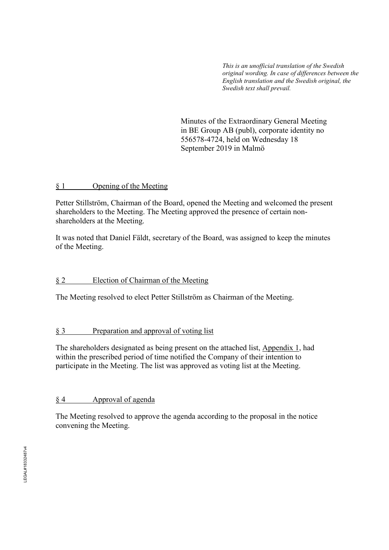*This is an unofficial translation of the Swedish original wording. In case of differences between the English translation and the Swedish original, the Swedish text shall prevail.* 

Minutes of the Extraordinary General Meeting in BE Group AB (publ), corporate identity no 556578-4724, held on Wednesday 18 September 2019 in Malmö

#### § 1 Opening of the Meeting

Petter Stillström, Chairman of the Board, opened the Meeting and welcomed the present shareholders to the Meeting. The Meeting approved the presence of certain nonshareholders at the Meeting.

It was noted that Daniel Fäldt, secretary of the Board, was assigned to keep the minutes of the Meeting.

### § 2 Election of Chairman of the Meeting

The Meeting resolved to elect Petter Stillström as Chairman of the Meeting.

### § 3 Preparation and approval of voting list

The shareholders designated as being present on the attached list, Appendix 1, had within the prescribed period of time notified the Company of their intention to participate in the Meeting. The list was approved as voting list at the Meeting.

### § 4 Approval of agenda

The Meeting resolved to approve the agenda according to the proposal in the notice convening the Meeting.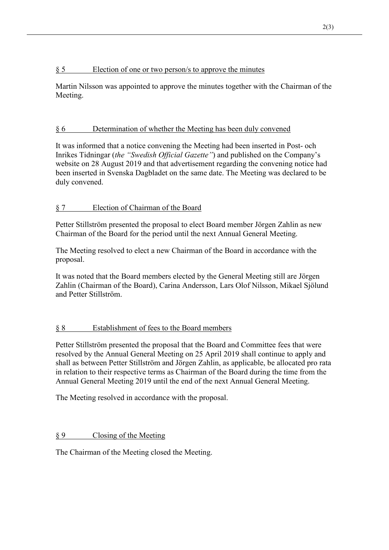### § 5 Election of one or two person/s to approve the minutes

Martin Nilsson was appointed to approve the minutes together with the Chairman of the Meeting.

# § 6 Determination of whether the Meeting has been duly convened

It was informed that a notice convening the Meeting had been inserted in Post- och Inrikes Tidningar (*the "Swedish Official Gazette"*) and published on the Company's website on 28 August 2019 and that advertisement regarding the convening notice had been inserted in Svenska Dagbladet on the same date. The Meeting was declared to be duly convened.

# § 7 Election of Chairman of the Board

Petter Stillström presented the proposal to elect Board member Jörgen Zahlin as new Chairman of the Board for the period until the next Annual General Meeting.

The Meeting resolved to elect a new Chairman of the Board in accordance with the proposal.

It was noted that the Board members elected by the General Meeting still are Jörgen Zahlin (Chairman of the Board), Carina Andersson, Lars Olof Nilsson, Mikael Sjölund and Petter Stillström.

# § 8 Establishment of fees to the Board members

Petter Stillström presented the proposal that the Board and Committee fees that were resolved by the Annual General Meeting on 25 April 2019 shall continue to apply and shall as between Petter Stillström and Jörgen Zahlin, as applicable, be allocated pro rata in relation to their respective terms as Chairman of the Board during the time from the Annual General Meeting 2019 until the end of the next Annual General Meeting.

The Meeting resolved in accordance with the proposal.

# § 9 Closing of the Meeting

The Chairman of the Meeting closed the Meeting.